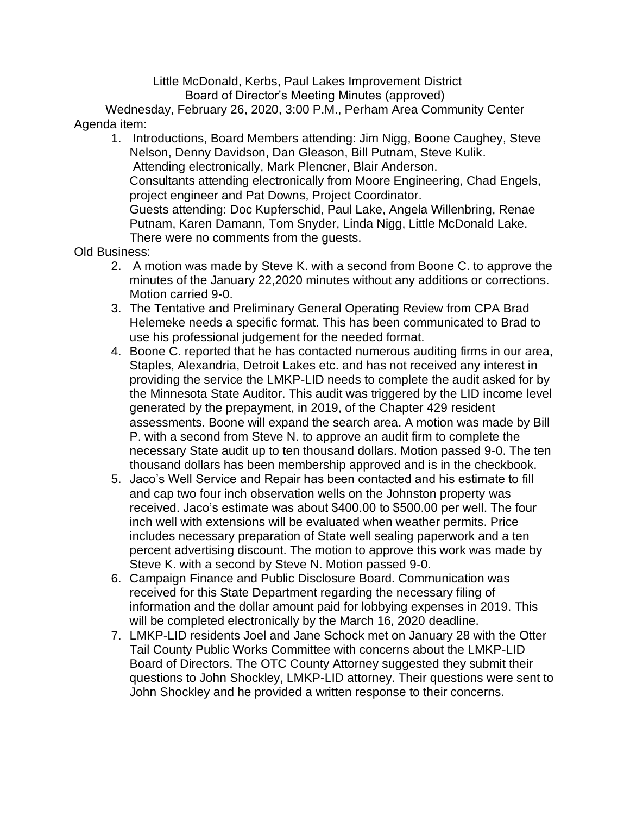Little McDonald, Kerbs, Paul Lakes Improvement District Board of Director's Meeting Minutes (approved)

Wednesday, February 26, 2020, 3:00 P.M., Perham Area Community Center Agenda item:

1. Introductions, Board Members attending: Jim Nigg, Boone Caughey, Steve Nelson, Denny Davidson, Dan Gleason, Bill Putnam, Steve Kulik. Attending electronically, Mark Plencner, Blair Anderson. Consultants attending electronically from Moore Engineering, Chad Engels, project engineer and Pat Downs, Project Coordinator. Guests attending: Doc Kupferschid, Paul Lake, Angela Willenbring, Renae Putnam, Karen Damann, Tom Snyder, Linda Nigg, Little McDonald Lake. There were no comments from the guests.

Old Business:

- 2. A motion was made by Steve K. with a second from Boone C. to approve the minutes of the January 22,2020 minutes without any additions or corrections. Motion carried 9-0.
- 3. The Tentative and Preliminary General Operating Review from CPA Brad Helemeke needs a specific format. This has been communicated to Brad to use his professional judgement for the needed format.
- 4. Boone C. reported that he has contacted numerous auditing firms in our area, Staples, Alexandria, Detroit Lakes etc. and has not received any interest in providing the service the LMKP-LID needs to complete the audit asked for by the Minnesota State Auditor. This audit was triggered by the LID income level generated by the prepayment, in 2019, of the Chapter 429 resident assessments. Boone will expand the search area. A motion was made by Bill P. with a second from Steve N. to approve an audit firm to complete the necessary State audit up to ten thousand dollars. Motion passed 9-0. The ten thousand dollars has been membership approved and is in the checkbook.
- 5. Jaco's Well Service and Repair has been contacted and his estimate to fill and cap two four inch observation wells on the Johnston property was received. Jaco's estimate was about \$400.00 to \$500.00 per well. The four inch well with extensions will be evaluated when weather permits. Price includes necessary preparation of State well sealing paperwork and a ten percent advertising discount. The motion to approve this work was made by Steve K. with a second by Steve N. Motion passed 9-0.
- 6. Campaign Finance and Public Disclosure Board. Communication was received for this State Department regarding the necessary filing of information and the dollar amount paid for lobbying expenses in 2019. This will be completed electronically by the March 16, 2020 deadline.
- 7. LMKP-LID residents Joel and Jane Schock met on January 28 with the Otter Tail County Public Works Committee with concerns about the LMKP-LID Board of Directors. The OTC County Attorney suggested they submit their questions to John Shockley, LMKP-LID attorney. Their questions were sent to John Shockley and he provided a written response to their concerns.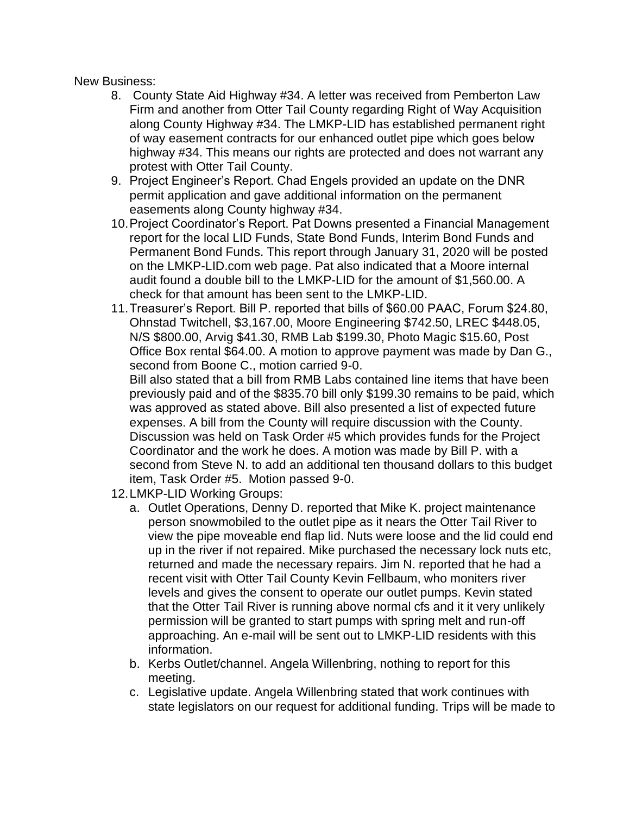New Business:

- 8. County State Aid Highway #34. A letter was received from Pemberton Law Firm and another from Otter Tail County regarding Right of Way Acquisition along County Highway #34. The LMKP-LID has established permanent right of way easement contracts for our enhanced outlet pipe which goes below highway #34. This means our rights are protected and does not warrant any protest with Otter Tail County.
- 9. Project Engineer's Report. Chad Engels provided an update on the DNR permit application and gave additional information on the permanent easements along County highway #34.
- 10.Project Coordinator's Report. Pat Downs presented a Financial Management report for the local LID Funds, State Bond Funds, Interim Bond Funds and Permanent Bond Funds. This report through January 31, 2020 will be posted on the LMKP-LID.com web page. Pat also indicated that a Moore internal audit found a double bill to the LMKP-LID for the amount of \$1,560.00. A check for that amount has been sent to the LMKP-LID.
- 11.Treasurer's Report. Bill P. reported that bills of \$60.00 PAAC, Forum \$24.80, Ohnstad Twitchell, \$3,167.00, Moore Engineering \$742.50, LREC \$448.05, N/S \$800.00, Arvig \$41.30, RMB Lab \$199.30, Photo Magic \$15.60, Post Office Box rental \$64.00. A motion to approve payment was made by Dan G., second from Boone C., motion carried 9-0.

Bill also stated that a bill from RMB Labs contained line items that have been previously paid and of the \$835.70 bill only \$199.30 remains to be paid, which was approved as stated above. Bill also presented a list of expected future expenses. A bill from the County will require discussion with the County. Discussion was held on Task Order #5 which provides funds for the Project Coordinator and the work he does. A motion was made by Bill P. with a second from Steve N. to add an additional ten thousand dollars to this budget item, Task Order #5. Motion passed 9-0.

- 12.LMKP-LID Working Groups:
	- a. Outlet Operations, Denny D. reported that Mike K. project maintenance person snowmobiled to the outlet pipe as it nears the Otter Tail River to view the pipe moveable end flap lid. Nuts were loose and the lid could end up in the river if not repaired. Mike purchased the necessary lock nuts etc, returned and made the necessary repairs. Jim N. reported that he had a recent visit with Otter Tail County Kevin Fellbaum, who moniters river levels and gives the consent to operate our outlet pumps. Kevin stated that the Otter Tail River is running above normal cfs and it it very unlikely permission will be granted to start pumps with spring melt and run-off approaching. An e-mail will be sent out to LMKP-LID residents with this information.
	- b. Kerbs Outlet/channel. Angela Willenbring, nothing to report for this meeting.
	- c. Legislative update. Angela Willenbring stated that work continues with state legislators on our request for additional funding. Trips will be made to